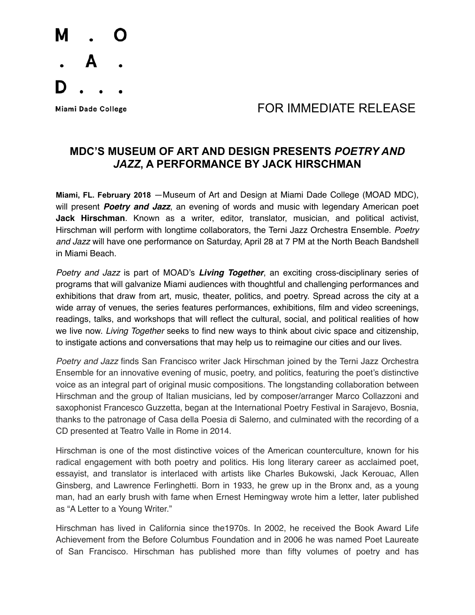

## Miami Dade College **Algebra 1999 State 19th Contract FOR IMMEDIATE RELEASE**

## **MDC'S MUSEUM OF ART AND DESIGN PRESENTS** *POETRY AND JAZZ***, A PERFORMANCE BY JACK HIRSCHMAN**

**Miami, FL. February 2018** —Museum of Art and Design at Miami Dade College (MOAD MDC), will present *Poetry and Jazz*, an evening of words and music with legendary American poet **Jack Hirschman**. Known as a writer, editor, translator, musician, and political activist, Hirschman will perform with longtime collaborators, the Terni Jazz Orchestra Ensemble. *Poetry and Jazz* will have one performance on Saturday, April 28 at 7 PM at the North Beach Bandshell in Miami Beach.

*Poetry and Jazz* is part of MOAD's *Living Together*, an exciting cross-disciplinary series of programs that will galvanize Miami audiences with thoughtful and challenging performances and exhibitions that draw from art, music, theater, politics, and poetry. Spread across the city at a wide array of venues, the series features performances, exhibitions, film and video screenings, readings, talks, and workshops that will reflect the cultural, social, and political realities of how we live now. *Living Together* seeks to find new ways to think about civic space and citizenship, to instigate actions and conversations that may help us to reimagine our cities and our lives.

*Poetry and Jazz* finds San Francisco writer Jack Hirschman joined by the Terni Jazz Orchestra Ensemble for an innovative evening of music, poetry, and politics, featuring the poet's distinctive voice as an integral part of original music compositions. The longstanding collaboration between Hirschman and the group of Italian musicians, led by composer/arranger Marco Collazzoni and saxophonist Francesco Guzzetta, began at the International Poetry Festival in Sarajevo, Bosnia, thanks to the patronage of Casa della Poesia di Salerno, and culminated with the recording of a CD presented at Teatro Valle in Rome in 2014.

Hirschman is one of the most distinctive voices of the American counterculture, known for his radical engagement with both poetry and politics. His long literary career as acclaimed poet, essayist, and translator is interlaced with artists like Charles Bukowski, Jack Kerouac, Allen Ginsberg, and Lawrence Ferlinghetti. Born in 1933, he grew up in the Bronx and, as a young man, had an early brush with fame when Ernest Hemingway wrote him a letter, later published as "A Letter to a Young Writer."

Hirschman has lived in California since the1970s. In 2002, he received the Book Award Life Achievement from the Before Columbus Foundation and in 2006 he was named Poet Laureate of San Francisco. Hirschman has published more than fifty volumes of poetry and has